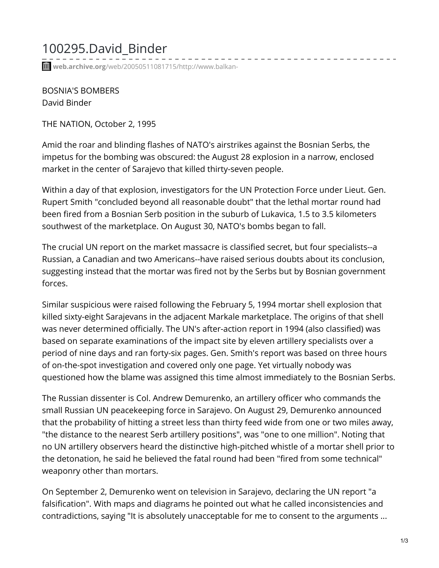## 100295.David\_Binder

**web.archive.org**[/web/20050511081715/http://www.balkan-](https://web.archive.org/web/20050511081715/http://www.balkan-archive.org.yu/politics/myth/articles/100295.David_Binder.html)

BOSNIA'S BOMBERS David Binder

THE NATION, October 2, 1995

Amid the roar and blinding flashes of NATO's airstrikes against the Bosnian Serbs, the impetus for the bombing was obscured: the August 28 explosion in a narrow, enclosed market in the center of Sarajevo that killed thirty-seven people.

Within a day of that explosion, investigators for the UN Protection Force under Lieut. Gen. Rupert Smith "concluded beyond all reasonable doubt" that the lethal mortar round had been fired from a Bosnian Serb position in the suburb of Lukavica, 1.5 to 3.5 kilometers southwest of the marketplace. On August 30, NATO's bombs began to fall.

The crucial UN report on the market massacre is classified secret, but four specialists--a Russian, a Canadian and two Americans--have raised serious doubts about its conclusion, suggesting instead that the mortar was fired not by the Serbs but by Bosnian government forces.

Similar suspicious were raised following the February 5, 1994 mortar shell explosion that killed sixty-eight Sarajevans in the adjacent Markale marketplace. The origins of that shell was never determined officially. The UN's after-action report in 1994 (also classified) was based on separate examinations of the impact site by eleven artillery specialists over a period of nine days and ran forty-six pages. Gen. Smith's report was based on three hours of on-the-spot investigation and covered only one page. Yet virtually nobody was questioned how the blame was assigned this time almost immediately to the Bosnian Serbs.

The Russian dissenter is Col. Andrew Demurenko, an artillery officer who commands the small Russian UN peacekeeping force in Sarajevo. On August 29, Demurenko announced that the probability of hitting a street less than thirty feed wide from one or two miles away, "the distance to the nearest Serb artillery positions", was "one to one million". Noting that no UN artillery observers heard the distinctive high-pitched whistle of a mortar shell prior to the detonation, he said he believed the fatal round had been "fired from some technical" weaponry other than mortars.

On September 2, Demurenko went on television in Sarajevo, declaring the UN report "a falsification". With maps and diagrams he pointed out what he called inconsistencies and contradictions, saying "It is absolutely unacceptable for me to consent to the arguments ...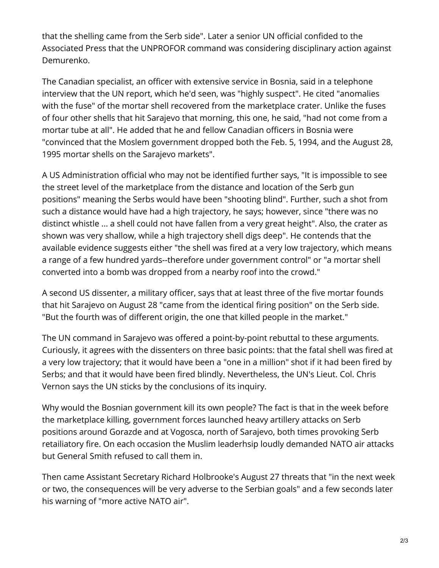that the shelling came from the Serb side". Later a senior UN official confided to the Associated Press that the UNPROFOR command was considering disciplinary action against Demurenko.

The Canadian specialist, an officer with extensive service in Bosnia, said in a telephone interview that the UN report, which he'd seen, was "highly suspect". He cited "anomalies with the fuse" of the mortar shell recovered from the marketplace crater. Unlike the fuses of four other shells that hit Sarajevo that morning, this one, he said, "had not come from a mortar tube at all". He added that he and fellow Canadian officers in Bosnia were "convinced that the Moslem government dropped both the Feb. 5, 1994, and the August 28, 1995 mortar shells on the Sarajevo markets".

A US Administration official who may not be identified further says, "It is impossible to see the street level of the marketplace from the distance and location of the Serb gun positions" meaning the Serbs would have been "shooting blind". Further, such a shot from such a distance would have had a high trajectory, he says; however, since "there was no distinct whistle ... a shell could not have fallen from a very great height". Also, the crater as shown was very shallow, while a high trajectory shell digs deep". He contends that the available evidence suggests either "the shell was fired at a very low trajectory, which means a range of a few hundred yards--therefore under government control" or "a mortar shell converted into a bomb was dropped from a nearby roof into the crowd."

A second US dissenter, a military officer, says that at least three of the five mortar founds that hit Sarajevo on August 28 "came from the identical firing position" on the Serb side. "But the fourth was of different origin, the one that killed people in the market."

The UN command in Sarajevo was offered a point-by-point rebuttal to these arguments. Curiously, it agrees with the dissenters on three basic points: that the fatal shell was fired at a very low trajectory; that it would have been a "one in a million" shot if it had been fired by Serbs; and that it would have been fired blindly. Nevertheless, the UN's Lieut. Col. Chris Vernon says the UN sticks by the conclusions of its inquiry.

Why would the Bosnian government kill its own people? The fact is that in the week before the marketplace killing, government forces launched heavy artillery attacks on Serb positions around Gorazde and at Vogosca, north of Sarajevo, both times provoking Serb retailiatory fire. On each occasion the Muslim leaderhsip loudly demanded NATO air attacks but General Smith refused to call them in.

Then came Assistant Secretary Richard Holbrooke's August 27 threats that "in the next week or two, the consequences will be very adverse to the Serbian goals" and a few seconds later his warning of "more active NATO air".